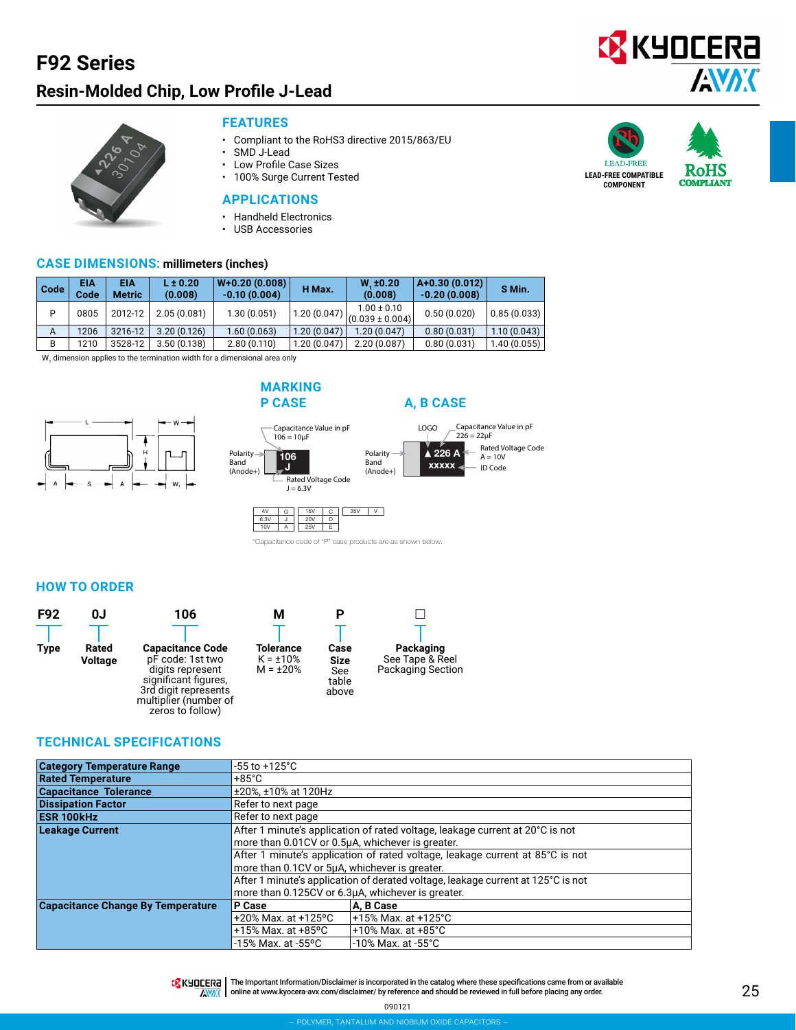### **F92 Series**

### **Resin-Molded Chip, Low Profile J-Lead**





#### **FEATURES**

- Compliant to the RoHS3 directive 2015/863/EU
- SMD J-Lead<br>• Low Profile (
- Low Profile Case Sizes
- 100% Surge Current Tested

#### **APPLICATIONS**

- Handheld Electronics
- USB Accessories

#### **CASE DIMENSIONS: millimeters (inches)**

| Code | EIA<br>Code | EIA<br><b>Metric</b> | $L \pm 0.20$<br>(0.008) | $W+0.20(0.008)$<br>$-0.10(0.004)$ | H Max.      | $W_{.} \pm 0.20$<br>(0.008)            | $ A+0.30(0.012) $<br>$-0.20(0.008)$ | S Min.      |
|------|-------------|----------------------|-------------------------|-----------------------------------|-------------|----------------------------------------|-------------------------------------|-------------|
| P    | 0805        | 2012-12              | 2.05(0.081)             | 1.30(0.051)                       | 1.20(0.047) | $1.00 \pm 0.10$<br>$(0.039 \pm 0.004)$ | 0.50(0.020)                         | 0.85(0.033) |
| A    | 1206        | 3216-12              | 3.20(0.126)             | 1.60(0.063)                       | 1.20(0.047) | 1.20(0.047)                            | 0.80(0.031)                         | 1.10(0.043) |
| B    | 1210        | 3528-12              | 3.50(0.138)             | 2.80(0.110)                       | 1.20(0.047) | 2.20(0.087)                            | 0.80(0.031)                         | 1.40(0.055) |

 $\mathsf{W}_{\mathsf{1}}$  dimension applies to the termination width for a dimensional area only







16V | C || 35V | V

\*Capacitance code of "P" case products are as shown below.

D E 25V 20V

 $|G|$ J  $\overline{A}$ 

6.3V 10V

Band



Polarity Band (Anode+)

**HOW TO ORDER**



#### **TECHNICAL SPECIFICATIONS**

| <b>Category Temperature Range</b>        | $-55$ to $+125^{\circ}$ C                                                        |                                                   |  |  |  |  |  |
|------------------------------------------|----------------------------------------------------------------------------------|---------------------------------------------------|--|--|--|--|--|
| <b>Rated Temperature</b>                 | $+85^{\circ}$ C                                                                  |                                                   |  |  |  |  |  |
| <b>Capacitance Tolerance</b>             | ±20%, ±10% at 120Hz                                                              |                                                   |  |  |  |  |  |
| <b>Dissipation Factor</b>                | Refer to next page                                                               |                                                   |  |  |  |  |  |
| <b>ESR 100kHz</b>                        | Refer to next page                                                               |                                                   |  |  |  |  |  |
| <b>Leakage Current</b>                   | After 1 minute's application of rated voltage, leakage current at 20°C is not    |                                                   |  |  |  |  |  |
|                                          | more than 0.01CV or 0.5µA, whichever is greater.                                 |                                                   |  |  |  |  |  |
|                                          | After 1 minute's application of rated voltage, leakage current at 85°C is not    |                                                   |  |  |  |  |  |
|                                          | more than 0.1CV or 5µA, whichever is greater.                                    |                                                   |  |  |  |  |  |
|                                          | After 1 minute's application of derated voltage, leakage current at 125°C is not |                                                   |  |  |  |  |  |
|                                          |                                                                                  | more than 0.125CV or 6.3µA, whichever is greater. |  |  |  |  |  |
| <b>Capacitance Change By Temperature</b> | P Case                                                                           | A, B Case                                         |  |  |  |  |  |
|                                          | +20% Max. at +125 $^{\circ}$ C                                                   | +15% Max. at +125°C                               |  |  |  |  |  |
|                                          | $+15\%$ Max. at $+85\degree$ C<br>+10% Max. at $+85^{\circ}$ C                   |                                                   |  |  |  |  |  |
|                                          | -15% Max. at -55°C                                                               | -10% Max. at -55°C                                |  |  |  |  |  |



**TA** KHOCER<sub>E</sub> | The Important Information/Disclaimer is incorporated in the catalog where these specifications came from or available AVAX online at [www.kyocera-avx.com/disclaimer/](http://www.avx.com/disclaimer/) by reference and should be reviewed in full before placing any order.



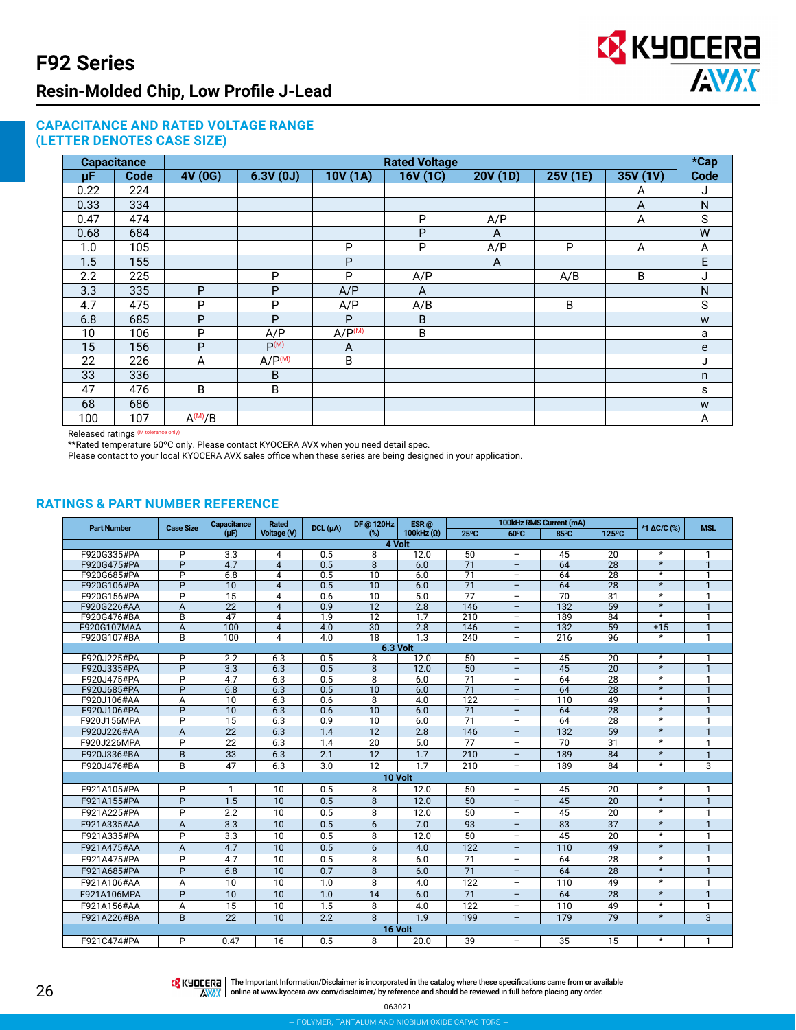

#### **CAPACITANCE AND RATED VOLTAGE RANGE (LETTER DENOTES CASE SIZE)**

|      | <b>Capacitance</b> | <b>Rated Voltage</b> |                    |                    |          |          |          |          |                        |  |  |  |  |
|------|--------------------|----------------------|--------------------|--------------------|----------|----------|----------|----------|------------------------|--|--|--|--|
| μF   | <b>Code</b>        | 4V (0G)              | 6.3V(0J)           | 10V (1A)           | 16V (1C) | 20V (1D) | 25V (1E) | 35V (1V) | $*$ Cap<br><b>Code</b> |  |  |  |  |
| 0.22 | 224                |                      |                    |                    |          |          |          | A        | J                      |  |  |  |  |
| 0.33 | 334                |                      |                    |                    |          |          |          | A        | ${\sf N}$              |  |  |  |  |
| 0.47 | 474                |                      |                    |                    | P        | A/P      |          | A        | $\mathsf S$            |  |  |  |  |
| 0.68 | 684                |                      |                    |                    | P        | A        |          |          | W                      |  |  |  |  |
| 1.0  | 105                |                      |                    | P                  | P        | A/P      | P        | A        | A                      |  |  |  |  |
| 1.5  | 155                |                      |                    | P                  |          | A        |          |          | E                      |  |  |  |  |
| 2.2  | 225                |                      | P                  | P                  | A/P      |          | A/B      | B        | J                      |  |  |  |  |
| 3.3  | 335                | P                    | P                  | A/P                | A        |          |          |          | N                      |  |  |  |  |
| 4.7  | 475                | P                    | P                  | A/P                | A/B      |          | B        |          | S                      |  |  |  |  |
| 6.8  | 685                | P                    | P                  | P                  | B        |          |          |          | W                      |  |  |  |  |
| 10   | 106                | P                    | A/P                | A/P <sup>(M)</sup> | B        |          |          |          | a                      |  |  |  |  |
| 15   | 156                | P                    | P <sub>(M)</sub>   | A                  |          |          |          |          | e                      |  |  |  |  |
| 22   | 226                | A                    | A/P <sup>(M)</sup> | B                  |          |          |          |          | J                      |  |  |  |  |
| 33   | 336                |                      | B                  |                    |          |          |          |          | $\mathsf{n}$           |  |  |  |  |
| 47   | 476                | B                    | B                  |                    |          |          |          |          | s                      |  |  |  |  |
| 68   | 686                |                      |                    |                    |          |          |          |          | W                      |  |  |  |  |
| 100  | 107                | $A^{(M)}/B$          |                    |                    |          |          |          |          | A                      |  |  |  |  |

Released ratings (M tolerance only)

\*\*Rated temperature 60ºC only. Please contact KYOCERA AVX when you need detail spec.

Please contact to your local KYOCERA AVX sales office when these series are being designed in your application.

#### **RATINGS & PART NUMBER REFERENCE**

| <b>Part Number</b>         | <b>Case Size</b> | Capacitance            | Rated          | DCL (µA)   | DF @ 120Hz      | $ESR$ @           |                       | 100kHz RMS Current (mA)                              |                 |                 | *1 ΔC/C (%)       | <b>MSL</b>          |
|----------------------------|------------------|------------------------|----------------|------------|-----------------|-------------------|-----------------------|------------------------------------------------------|-----------------|-----------------|-------------------|---------------------|
|                            |                  | $(\mu F)$              | Voltage (V)    |            | (%)             | 100kHz $(\Omega)$ | $25^{\circ}$ C        | $60^{\circ}$ C                                       | 85°C            | $125^{\circ}$ C |                   |                     |
|                            |                  |                        |                |            | 4 Volt          |                   |                       |                                                      |                 |                 |                   |                     |
| F920G335#PA                | P                | 3.3                    | 4              | 0.5        | 8               | 12.0              | 50                    | $\overline{\phantom{a}}$                             | 45              | 20              | $^\star$          |                     |
| F920G475#PA                | P                | 4.7                    | 4              | 0.5        | 8               | 6.0               | 71                    | $\overline{\phantom{a}}$                             | 64              | 28              | $\star$           | $\mathbf{1}$        |
| F920G685#PA                | P                | 6.8                    | 4              | 0.5        | 10              | 6.0               | 71                    | $\overline{\phantom{m}}$                             | 64              | 28              | $\star$           | 1                   |
| F920G106#PA                | $\overline{P}$   | $\overline{10}$        | $\overline{4}$ | 0.5        | $\overline{10}$ | 6.0               | $\overline{71}$       | $\overline{\phantom{0}}$                             | 64              | $\overline{28}$ | $\star$           | $\overline{1}$      |
| F920G156#PA                | $\overline{P}$   | $\overline{15}$        | 4              | 0.6        | $\overline{10}$ | 5.0               | $\overline{77}$       | $\overline{\phantom{0}}$                             | $\overline{70}$ | $\overline{31}$ | $\overline{\ast}$ | $\mathbf{1}$        |
| F920G226#AA                | A                | 22                     | $\overline{4}$ | 0.9        | 12              | 2.8               | 146                   | $\qquad \qquad -$                                    | 132             | 59              | $\star$           | $\mathbf{1}$        |
| F920G476#BA                | B                | 47                     | 4              | 1.9        | $\overline{12}$ | 1.7               | 210                   | $\overline{\phantom{m}}$                             | 189             | 84              | $\overline{\ast}$ | 1                   |
| F920G107MAA                | Α                | 100                    | 4              | 4.0        | $\overline{30}$ | $\overline{2.8}$  | 146                   | $\qquad \qquad -$                                    | 132             | $\overline{59}$ | ±15               | $\mathbf{1}$        |
| F920G107#BA                | B                | 100                    | 4              | 4.0        | $\overline{18}$ | $\overline{1.3}$  | 240                   | Ξ.                                                   | 216             | 96              | $\overline{\ast}$ | $\overline{1}$      |
|                            |                  |                        |                |            | 6.3 Volt        |                   |                       |                                                      |                 |                 | $\overline{\ast}$ |                     |
| F920J225#PA                | P                | 2.2                    | 6.3            | 0.5        | 8               | 12.0              | 50                    | $\overline{\phantom{m}}$                             | 45              | 20              | $\overline{\ast}$ | $\mathbf{1}$        |
| F920J335#PA                | $\overline{P}$   | $\overline{3.3}$       | 6.3            | 0.5        | $\overline{8}$  | 12.0              | 50                    | $\overline{\phantom{m}}$                             | 45              | $\overline{20}$ | $\star$           | $\overline{1}$      |
| F920J475#PA                | P<br>P           | 4.7                    | 6.3            | 0.5<br>0.5 | 8<br>10         | 6.0               | $\overline{71}$<br>71 | $\overline{\phantom{a}}$<br>$\overline{\phantom{0}}$ | 64              | 28<br>28        | $\star$           | 1<br>$\overline{1}$ |
| F920J685#PA                | A                | 6.8<br>$\overline{10}$ | 6.3<br>6.3     | 0.6        | 8               | 6.0<br>4.0        | 122                   | $\overline{\phantom{a}}$                             | 64<br>110       | 49              | $\star$           | $\mathbf{1}$        |
| F920J106#AA<br>F920J106#PA | $\overline{P}$   | $\overline{10}$        | 6.3            | 0.6        | $\overline{10}$ | 6.0               | $\overline{71}$       | $\overline{\phantom{a}}$                             | 64              | $\overline{28}$ | $\overline{\ast}$ | $\overline{1}$      |
| F920J156MPA                | P                | 15                     | 6.3            | 0.9        | 10              | 6.0               | 71                    | $\overline{\phantom{a}}$                             | 64              | 28              | $\star$           | $\mathbf{1}$        |
| F920J226#AA                | $\overline{A}$   | 22                     | 6.3            | 1.4        | 12              | 2.8               | 146                   | $\overline{\phantom{0}}$                             | 132             | 59              | $\star$           | $\mathbf{1}$        |
| F920J226MPA                | P                | 22                     | 6.3            | 1.4        | 20              | 5.0               | 77                    | $\overline{\phantom{0}}$                             | 70              | 31              | $\star$           | 1                   |
|                            |                  |                        |                | 2.1        | 12              |                   |                       |                                                      |                 |                 | $\star$           |                     |
| F920J336#BA                | B                | 33                     | 6.3            |            |                 | 1.7               | 210                   | $\overline{\phantom{a}}$                             | 189             | 84              | $\star$           | $\mathbf{1}$        |
| F920J476#BA                | B                | 47                     | 6.3            | 3.0        | 12              | 1.7               | 210                   | $\overline{\phantom{m}}$                             | 189             | 84              |                   | 3                   |
|                            |                  |                        |                |            | 10 Volt         |                   |                       |                                                      |                 |                 |                   |                     |
| F921A105#PA                | P                | $\mathbf 1$            | 10             | 0.5        | 8               | 12.0              | 50                    | $\overline{\phantom{m}}$                             | 45              | 20              | $\star$           | 1                   |
| F921A155#PA                | P                | 1.5                    | 10             | 0.5        | 8               | 12.0              | 50                    | $\qquad \qquad -$                                    | 45              | 20              | $\star$           | $\mathbf{1}$        |
| F921A225#PA                | P                | 2.2                    | 10             | 0.5        | 8               | 12.0              | 50                    | $\overline{\phantom{a}}$                             | 45              | 20              | $\star$           | $\mathbf{1}$        |
| F921A335#AA                | A                | 3.3                    | 10             | 0.5        | 6               | 7.0               | 93                    | $\qquad \qquad -$                                    | 83              | $\overline{37}$ | $\star$           | $\mathbf{1}$        |
| F921A335#PA                | P                | 3.3                    | 10             | 0.5        | 8               | 12.0              | 50                    | $\overline{\phantom{m}}$                             | 45              | 20              | $\star$           | $\mathbf{1}$        |
| F921A475#AA                | A                | 4.7                    | 10             | 0.5        | 6               | 4.0               | 122                   | $\overline{\phantom{a}}$                             | 110             | 49              | $\star$           | $\mathbf{1}$        |
| F921A475#PA                | P                | 4.7                    | 10             | 0.5        | 8               | 6.0               | 71                    | $\overline{\phantom{m}}$                             | 64              | 28              | $\star$           | $\mathbf{1}$        |
| F921A685#PA                | P                | 6.8                    | 10             | 0.7        | 8               | 6.0               | 71                    | $\qquad \qquad -$                                    | 64              | 28              | $\star$           | $\mathbf{1}$        |
| F921A106#AA                | A                | 10                     | 10             | 1.0        | 8               | 4.0               | 122                   | $\overline{\phantom{a}}$                             | 110             | 49              | $\star$           | $\mathbf{1}$        |
| F921A106MPA                | P                | 10                     | 10             | 1.0        | 14              | 6.0               | 71                    | $\overline{\phantom{0}}$                             | 64              | 28              | $\star$           | $\mathbf{1}$        |
|                            |                  | 15                     | 10             | 1.5        | 8               |                   | 122                   |                                                      | 110             | 49              | $\star$           | $\mathbf{1}$        |
| F921A156#AA                | A                |                        |                |            |                 | 4.0               |                       | $\overline{\phantom{m}}$                             |                 |                 | $\star$           |                     |
| F921A226#BA                | B                | 22                     | 10             | 2.2        | $\mathsf{R}$    | 1.9               | 199                   | $\overline{\phantom{0}}$                             | 179             | 79              |                   | 3                   |
| 16 Volt                    |                  |                        |                |            |                 |                   |                       |                                                      |                 |                 |                   |                     |
| F921C474#PA                | P                | 0.47                   | 16             | 0.5        | 8               | 20.0              | 39                    | $\overline{\phantom{0}}$                             | 35              | 15              | $\star$           | $\mathbf{1}$        |

**TA KYOCERE** The Important Information/Disclaimer is incorporated in the catalog where these specifications came from or available AVAX | online at [www.kyocera-avx.com/disclaimer/](http://www.avx.com/disclaimer/) by reference and should be reviewed in full before placing any order.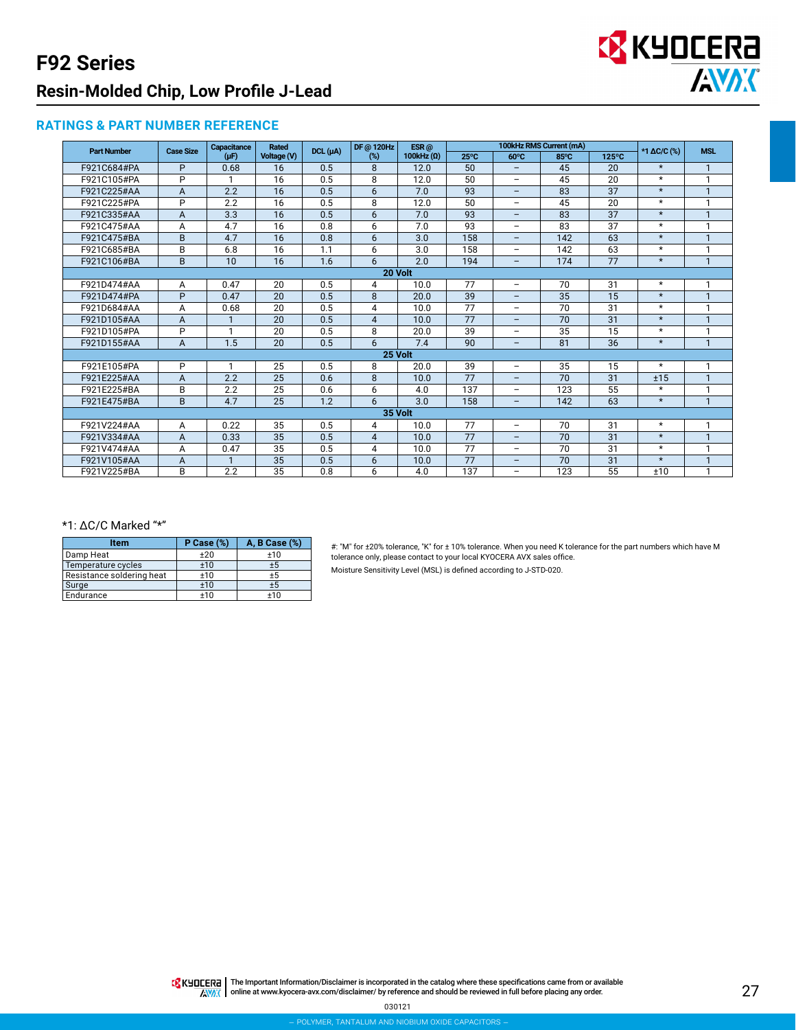## **F92 Series Resin-Molded Chip, Low Profile J-Lead**



#### **RATINGS & PART NUMBER REFERENCE**

| <b>Part Number</b> | <b>Case Size</b>        | Capacitance | Rated           | DCL (µA) | DF @ 120Hz<br>$ESR$ @ |                   | 100kHz RMS Current (mA) |                          |                 |                 | *1 ΔC/C (%) | <b>MSL</b>     |
|--------------------|-------------------------|-------------|-----------------|----------|-----------------------|-------------------|-------------------------|--------------------------|-----------------|-----------------|-------------|----------------|
|                    |                         | $(\mu F)$   | Voltage (V)     |          | $(\%)$                | 100kHz $(\Omega)$ | $25^{\circ}$ C          | $60^{\circ}$ C           | 85°C            | $125^{\circ}$ C |             |                |
| F921C684#PA        | P                       | 0.68        | 16              | 0.5      | 8                     | 12.0              | 50                      |                          | 45              | 20              | $\star$     | 1              |
| F921C105#PA        | $\overline{P}$          | 1           | 16              | 0.5      | 8                     | 12.0              | 50                      | $\overline{\phantom{0}}$ | 45              | 20              | $\star$     | 1              |
| F921C225#AA        | $\overline{A}$          | 2.2         | 16              | 0.5      | 6                     | 7.0               | 93                      | $\overline{\phantom{0}}$ | 83              | 37              | $\star$     | $\mathbf{1}$   |
| F921C225#PA        | P                       | 2.2         | 16              | 0.5      | 8                     | 12.0              | 50                      | $\overline{\phantom{0}}$ | 45              | 20              | $\star$     | 1              |
| F921C335#AA        | $\overline{A}$          | 3.3         | 16              | 0.5      | 6                     | 7.0               | 93                      | $\qquad \qquad -$        | 83              | 37              | $\star$     | $\mathbf{1}$   |
| F921C475#AA        | $\overline{A}$          | 4.7         | 16              | 0.8      | 6                     | 7.0               | 93                      |                          | 83              | 37              | $\star$     | 1              |
| F921C475#BA        | B                       | 4.7         | 16              | 0.8      | 6                     | 3.0               | 158                     | $\equiv$                 | 142             | 63              | $\star$     | $\mathbf{1}$   |
| F921C685#BA        | B                       | 6.8         | 16              | 1.1      | 6                     | 3.0               | 158                     | $\overline{\phantom{a}}$ | 142             | 63              | $\star$     | 1              |
| F921C106#BA        | B                       | 10          | 16              | 1.6      | 6                     | 2.0               | 194                     | $\qquad \qquad -$        | 174             | 77              | $\star$     | $\mathbf{1}$   |
| 20 Volt            |                         |             |                 |          |                       |                   |                         |                          |                 |                 |             |                |
| F921D474#AA        | A                       | 0.47        | 20              | 0.5      | 4                     | 10.0              | 77                      |                          | 70              | 31              | $\star$     | 1              |
| F921D474#PA        | P                       | 0.47        | 20              | 0.5      | 8                     | 20.0              | 39                      | $\overline{\phantom{0}}$ | 35              | 15              | $\star$     | $\mathbf{1}$   |
| F921D684#AA        | A                       | 0.68        | 20              | 0.5      | 4                     | 10.0              | 77                      |                          | 70              | 31              | $\star$     | 1              |
| F921D105#AA        | $\overline{A}$          |             | 20              | 0.5      | 4                     | 10.0              | $\overline{77}$         | $\overline{\phantom{0}}$ | $\overline{70}$ | $\overline{31}$ | $\star$     | $\mathbf{1}$   |
| F921D105#PA        | P                       | 1           | 20              | 0.5      | 8                     | 20.0              | 39                      | $\overline{\phantom{a}}$ | 35              | 15              | $\star$     | 1              |
| F921D155#AA        | $\overline{A}$          | 1.5         | 20              | 0.5      | 6                     | 7.4               | 90                      | $\overline{\phantom{0}}$ | 81              | $\overline{36}$ | $\star$     | $\mathbf{1}$   |
|                    |                         |             |                 |          | 25 Volt               |                   |                         |                          |                 |                 |             |                |
| F921E105#PA        | P                       |             | 25              | 0.5      | 8                     | 20.0              | 39                      | $\overline{\phantom{0}}$ | 35              | 15              | $\star$     | 1              |
| F921E225#AA        | $\overline{A}$          | 2.2         | 25              | 0.6      | 8                     | 10.0              | 77                      | $\qquad \qquad -$        | 70              | 31              | ±15         | $\mathbf{1}$   |
| F921E225#BA        | B                       | 2.2         | 25              | 0.6      | 6                     | 4.0               | 137                     | $\overline{\phantom{a}}$ | 123             | 55              | $\star$     | 1              |
| F921E475#BA        | B                       | 4.7         | 25              | 1.2      | 6                     | 3.0               | 158                     | $\overline{\phantom{0}}$ | 142             | 63              | $\star$     | $\mathbf{1}$   |
| 35 Volt            |                         |             |                 |          |                       |                   |                         |                          |                 |                 |             |                |
| F921V224#AA        | A                       | 0.22        | 35              | 0.5      | 4                     | 10.0              | 77                      | $\overline{\phantom{0}}$ | 70              | 31              | $\star$     | 1              |
| F921V334#AA        | $\overline{A}$          | 0.33        | 35              | 0.5      | $\overline{4}$        | 10.0              | 77                      | $\overline{\phantom{0}}$ | 70              | 31              | $\star$     | $\mathbf{1}$   |
| F921V474#AA        | $\overline{A}$          | 0.47        | 35              | 0.5      | 4                     | 10.0              | 77                      | $\overline{\phantom{a}}$ | 70              | 31              | $\star$     | 1              |
| F921V105#AA        | A                       |             | 35              | 0.5      | 6                     | 10.0              | 77                      | $\overline{\phantom{0}}$ | 70              | 31              | $\star$     | $\mathbf{1}$   |
| F921V225#BA        | $\overline{\mathsf{B}}$ | 2.2         | $\overline{35}$ | 0.8      | 6                     | 4.0               | 137                     | $\qquad \qquad -$        | 123             | $\overline{55}$ | ±10         | $\overline{1}$ |

#### \*1: ΔC/C Marked "\*"

| Item                      | $P$ Case $(\%)$ | A, B Case (%) |
|---------------------------|-----------------|---------------|
| Damp Heat                 | ±20             | ±10           |
| Temperature cycles        | ±10             | ±5            |
| Resistance soldering heat | ±10             | ±5            |
| Surge                     | ±10             | ±5            |
| Endurance                 | ±10             | $+10$         |

#: "M" for ±20% tolerance, "K" for ± 10% tolerance. When you need K tolerance for the part numbers which have M tolerance only, please contact to your local KYOCERA AVX sales office. Moisture Sensitivity Level (MSL) is defined according to J-STD-020.

The Important Information/Disclaimer is incorporated in the catalog where these specifications came from or available<br>online at [www.kyocera-avx.com/disclaimer/](http://www.avx.com/disclaimer/) by reference and should be reviewed in full before placing any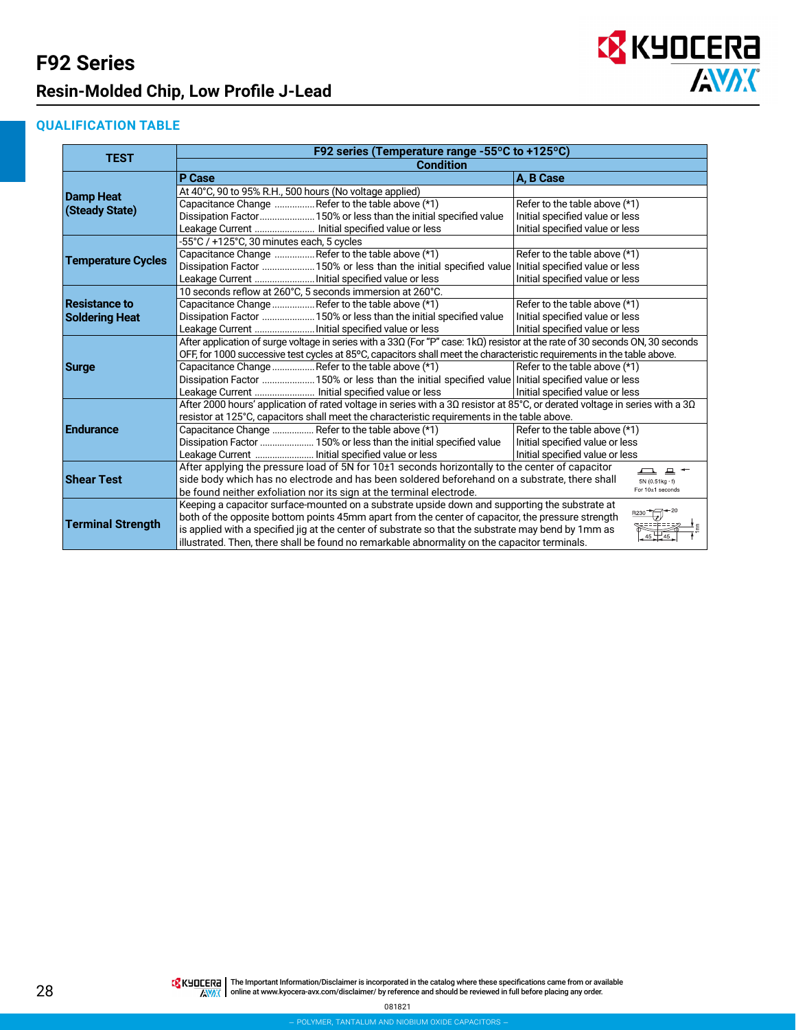### **F92 Series Resin-Molded Chip, Low Profile J-Lead**



#### **QUALIFICATION TABLE**

|                           | F92 series (Temperature range -55°C to +125°C)                                                                                |                                          |  |  |  |  |  |  |  |  |
|---------------------------|-------------------------------------------------------------------------------------------------------------------------------|------------------------------------------|--|--|--|--|--|--|--|--|
| <b>TEST</b>               | <b>Condition</b>                                                                                                              |                                          |  |  |  |  |  |  |  |  |
|                           | P Case                                                                                                                        | A, B Case                                |  |  |  |  |  |  |  |  |
| <b>Damp Heat</b>          | At 40°C, 90 to 95% R.H., 500 hours (No voltage applied)                                                                       |                                          |  |  |  |  |  |  |  |  |
|                           | Capacitance Change  Refer to the table above (*1)                                                                             | Refer to the table above (*1)            |  |  |  |  |  |  |  |  |
| (Steady State)            | Dissipation Factor 150% or less than the initial specified value                                                              | Initial specified value or less          |  |  |  |  |  |  |  |  |
|                           | Leakage Current  Initial specified value or less                                                                              | Initial specified value or less          |  |  |  |  |  |  |  |  |
|                           | -55°C / +125°C, 30 minutes each, 5 cycles                                                                                     |                                          |  |  |  |  |  |  |  |  |
| <b>Temperature Cycles</b> | Capacitance Change  Refer to the table above (*1)<br>Refer to the table above (*1)                                            |                                          |  |  |  |  |  |  |  |  |
|                           | Dissipation Factor  150% or less than the initial specified value Initial specified value or less                             |                                          |  |  |  |  |  |  |  |  |
|                           | Leakage Current  Initial specified value or less                                                                              | Initial specified value or less          |  |  |  |  |  |  |  |  |
|                           | 10 seconds reflow at 260°C, 5 seconds immersion at 260°C.                                                                     |                                          |  |  |  |  |  |  |  |  |
| <b>Resistance to</b>      | Capacitance Change  Refer to the table above (*1)<br>Refer to the table above (*1)                                            |                                          |  |  |  |  |  |  |  |  |
| <b>Soldering Heat</b>     | Dissipation Factor  150% or less than the initial specified value                                                             | Initial specified value or less          |  |  |  |  |  |  |  |  |
|                           | Leakage Current  Initial specified value or less                                                                              | Initial specified value or less          |  |  |  |  |  |  |  |  |
|                           | After application of surge voltage in series with a 33Ω (For "P" case: 1kΩ) resistor at the rate of 30 seconds ON, 30 seconds |                                          |  |  |  |  |  |  |  |  |
|                           | OFF, for 1000 successive test cycles at 85°C, capacitors shall meet the characteristic requirements in the table above.       |                                          |  |  |  |  |  |  |  |  |
| <b>Surge</b>              | Capacitance Change  Refer to the table above (*1)                                                                             | Refer to the table above (*1)            |  |  |  |  |  |  |  |  |
|                           | Dissipation Factor  150% or less than the initial specified value Initial specified value or less                             |                                          |  |  |  |  |  |  |  |  |
|                           | Leakage Current  Initial specified value or less                                                                              | Initial specified value or less          |  |  |  |  |  |  |  |  |
|                           | After 2000 hours' application of rated voltage in series with a 30 resistor at 85°C, or derated voltage in series with a 30   |                                          |  |  |  |  |  |  |  |  |
|                           | resistor at 125°C, capacitors shall meet the characteristic requirements in the table above.                                  |                                          |  |  |  |  |  |  |  |  |
| <b>Endurance</b>          | Capacitance Change  Refer to the table above (*1)                                                                             | Refer to the table above (*1)            |  |  |  |  |  |  |  |  |
|                           | Dissipation Factor  150% or less than the initial specified value                                                             | Initial specified value or less          |  |  |  |  |  |  |  |  |
|                           | Leakage Current  Initial specified value or less                                                                              | Initial specified value or less          |  |  |  |  |  |  |  |  |
|                           | After applying the pressure load of 5N for 10±1 seconds horizontally to the center of capacitor                               | $\mathbf{r}$ = $\mathbf{r}$              |  |  |  |  |  |  |  |  |
| <b>Shear Test</b>         | side body which has no electrode and has been soldered beforehand on a substrate, there shall                                 | $5N(0.51kg \cdot f)$<br>For 10±1 seconds |  |  |  |  |  |  |  |  |
|                           | be found neither exfoliation nor its sign at the terminal electrode.                                                          |                                          |  |  |  |  |  |  |  |  |
|                           | Keeping a capacitor surface-mounted on a substrate upside down and supporting the substrate at                                | $B230 - 20$                              |  |  |  |  |  |  |  |  |
| <b>Terminal Strength</b>  | both of the opposite bottom points 45mm apart from the center of capacitor, the pressure strength                             |                                          |  |  |  |  |  |  |  |  |
|                           | is applied with a specified jig at the center of substrate so that the substrate may bend by 1mm as                           |                                          |  |  |  |  |  |  |  |  |
|                           | illustrated. Then, there shall be found no remarkable abnormality on the capacitor terminals.                                 |                                          |  |  |  |  |  |  |  |  |